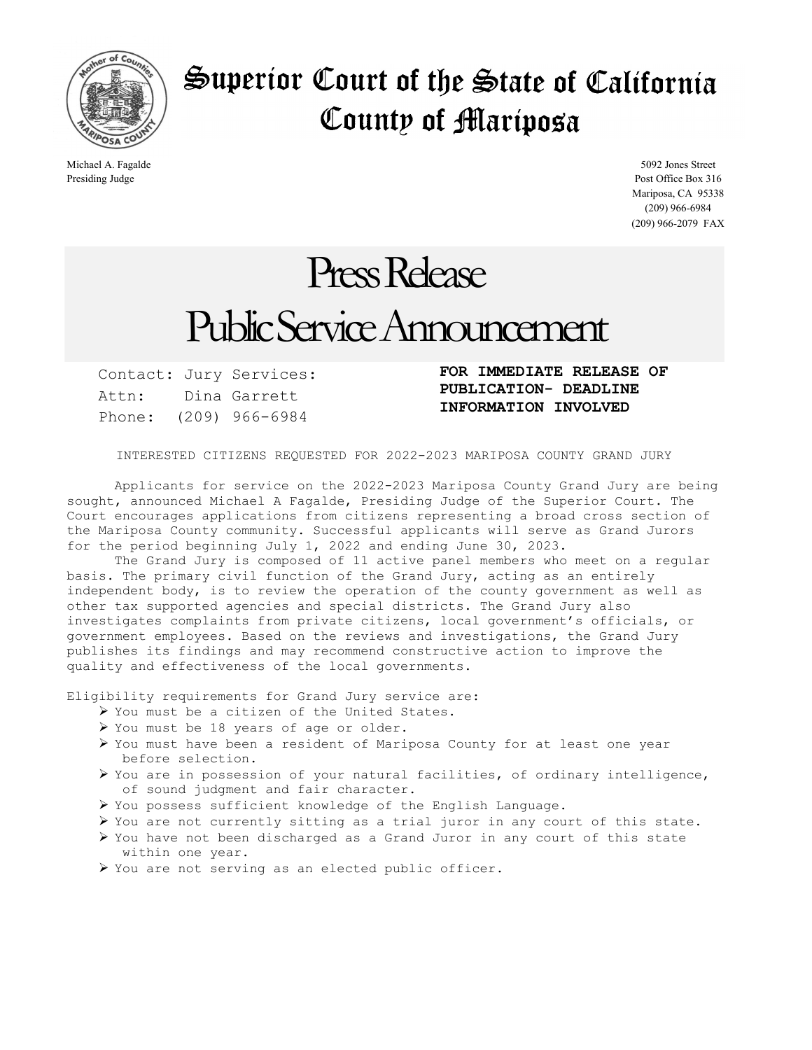

## Superior Court of the State of California County of Mariposa

Michael A. Fagalde 5092 Jones Street Presiding Judge Post Office Box 316 Mariposa, CA 95338 (209) 966-6984 (209) 966-2079 FAX

## Press Release Public Service Announcement

Contact: Jury Services: Attn: Dina Garrett Phone: (209) 966-6984

FOR IMMEDIATE RELEASE OF PUBLICATION- DEADLINE INFORMATION INVOLVED

INTERESTED CITIZENS REQUESTED FOR 2022-2023 MARIPOSA COUNTY GRAND JURY

 Applicants for service on the 2022-2023 Mariposa County Grand Jury are being sought, announced Michael A Fagalde, Presiding Judge of the Superior Court. The Court encourages applications from citizens representing a broad cross section of the Mariposa County community. Successful applicants will serve as Grand Jurors for the period beginning July 1, 2022 and ending June 30, 2023.

 The Grand Jury is composed of 11 active panel members who meet on a regular basis. The primary civil function of the Grand Jury, acting as an entirely independent body, is to review the operation of the county government as well as other tax supported agencies and special districts. The Grand Jury also investigates complaints from private citizens, local government's officials, or government employees. Based on the reviews and investigations, the Grand Jury publishes its findings and may recommend constructive action to improve the quality and effectiveness of the local governments.

Eligibility requirements for Grand Jury service are:

- You must be a citizen of the United States.
- You must be 18 years of age or older.
- You must have been a resident of Mariposa County for at least one year before selection.
- You are in possession of your natural facilities, of ordinary intelligence, of sound judgment and fair character.
- You possess sufficient knowledge of the English Language.
- You are not currently sitting as a trial juror in any court of this state.
- You have not been discharged as a Grand Juror in any court of this state within one year.
- You are not serving as an elected public officer.